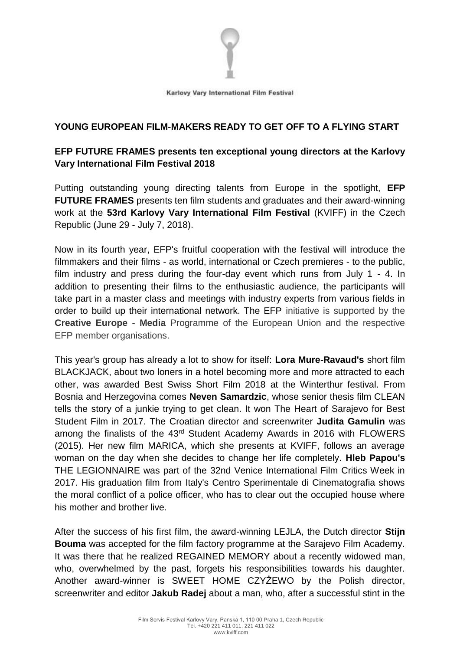

## **YOUNG EUROPEAN FILM-MAKERS READY TO GET OFF TO A FLYING START**

# **EFP FUTURE FRAMES presents ten exceptional young directors at the Karlovy Vary International Film Festival 2018**

Putting outstanding young directing talents from Europe in the spotlight, **EFP FUTURE FRAMES** presents ten film students and graduates and their award-winning work at the **53rd Karlovy Vary International Film Festival** (KVIFF) in the Czech Republic (June 29 - July 7, 2018).

Now in its fourth year, EFP's fruitful cooperation with the festival will introduce the filmmakers and their films - as world, international or Czech premieres - to the public, film industry and press during the four-day event which runs from July 1 - 4. In addition to presenting their films to the enthusiastic audience, the participants will take part in a master class and meetings with industry experts from various fields in order to build up their international network. The EFP initiative is supported by the **Creative Europe - Media** Programme of the European Union and the respective EFP member organisations.

This year's group has already a lot to show for itself: **Lora Mure-Ravaud's** short film BLACKJACK, about two loners in a hotel becoming more and more attracted to each other, was awarded Best Swiss Short Film 2018 at the Winterthur festival. From Bosnia and Herzegovina comes **Neven Samardzic**, whose senior thesis film CLEAN tells the story of a junkie trying to get clean. It won The Heart of Sarajevo for Best Student Film in 2017. The Croatian director and screenwriter **Judita Gamulin** was among the finalists of the 43rd Student Academy Awards in 2016 with FLOWERS (2015). Her new film MARICA, which she presents at KVIFF, follows an average woman on the day when she decides to change her life completely. **Hleb Papou's** THE LEGIONNAIRE was part of the 32nd Venice International Film Critics Week in 2017. His graduation film from Italy's Centro Sperimentale di Cinematografia shows the moral conflict of a police officer, who has to clear out the occupied house where his mother and brother live.

After the success of his first film, the award-winning LEJLA, the Dutch director **Stijn Bouma** was accepted for the film factory programme at the Sarajevo Film Academy. It was there that he realized REGAINED MEMORY about a recently widowed man, who, overwhelmed by the past, forgets his responsibilities towards his daughter. Another award-winner is SWEET HOME CZYŻEWO by the Polish director, screenwriter and editor **Jakub Radej** about a man, who, after a successful stint in the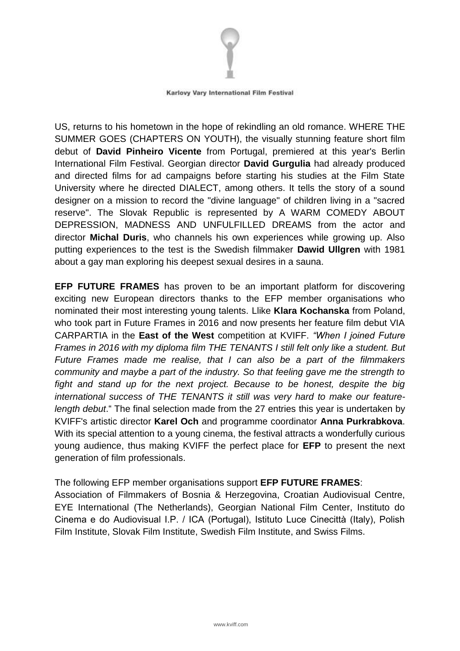

US, returns to his hometown in the hope of rekindling an old romance. WHERE THE SUMMER GOES (CHAPTERS ON YOUTH), the visually stunning feature short film debut of **David Pinheiro Vicente** from Portugal, premiered at this year's Berlin International Film Festival. Georgian director **David Gurgulia** had already produced and directed films for ad campaigns before starting his studies at the Film State University where he directed DIALECT, among others. It tells the story of a sound designer on a mission to record the "divine language" of children living in a "sacred reserve". The Slovak Republic is represented by A WARM COMEDY ABOUT DEPRESSION, MADNESS AND UNFULFILLED DREAMS from the actor and director **Michal Duris**, who channels his own experiences while growing up. Also putting experiences to the test is the Swedish filmmaker **Dawid Ullgren** with 1981 about a gay man exploring his deepest sexual desires in a sauna.

**EFP FUTURE FRAMES** has proven to be an important platform for discovering exciting new European directors thanks to the EFP member organisations who nominated their most interesting young talents. Llike **Klara Kochanska** from Poland, who took part in Future Frames in 2016 and now presents her feature film debut VIA CARPARTIA in the **East of the West** competition at KVIFF. *"When I joined Future Frames in 2016 with my diploma film THE TENANTS I still felt only like a student. But Future Frames made me realise, that I can also be a part of the filmmakers community and maybe a part of the industry. So that feeling gave me the strength to fight and stand up for the next project. Because to be honest, despite the big international success of THE TENANTS it still was very hard to make our featurelength debut*." The final selection made from the 27 entries this year is undertaken by KVIFF's artistic director **Karel Och** and programme coordinator **Anna Purkrabkova**. With its special attention to a young cinema, the festival attracts a wonderfully curious young audience, thus making KVIFF the perfect place for **EFP** to present the next generation of film professionals.

The following EFP member organisations support **EFP FUTURE FRAMES**: Association of Filmmakers of Bosnia & Herzegovina, Croatian Audiovisual Centre, EYE International (The Netherlands), Georgian National Film Center, Instituto do Cinema e do Audiovisual I.P. / ICA (Portugal), Istituto Luce Cinecittà (Italy), Polish Film Institute, Slovak Film Institute, Swedish Film Institute, and Swiss Films.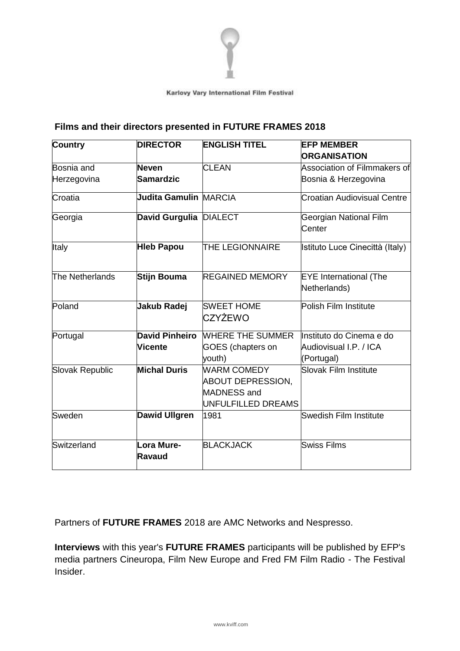

## **Films and their directors presented in FUTURE FRAMES 2018**

| <b>Country</b>  | <b>DIRECTOR</b>        | <b>ENGLISH TITEL</b>                                                                | <b>EFP MEMBER</b>                             |  |
|-----------------|------------------------|-------------------------------------------------------------------------------------|-----------------------------------------------|--|
|                 |                        |                                                                                     | <b>ORGANISATION</b>                           |  |
| Bosnia and      | <b>Neven</b>           | <b>CLEAN</b>                                                                        | Association of Filmmakers of                  |  |
| Herzegovina     | Samardzic              |                                                                                     | Bosnia & Herzegovina                          |  |
| Croatia         | Judita Gamulin MARCIA  |                                                                                     | <b>Croatian Audiovisual Centre</b>            |  |
| Georgia         | David Gurgulia DIALECT |                                                                                     | Georgian National Film<br>Center              |  |
| Italy           | <b>Hieb Papou</b>      | <b>THE LEGIONNAIRE</b>                                                              | Istituto Luce Cinecittà (Italy)               |  |
| The Netherlands | Stijn Bouma            | <b>REGAINED MEMORY</b>                                                              | <b>EYE</b> International (The<br>Netherlands) |  |
| Poland          | Jakub Radej            | <b>SWEET HOME</b><br><b>CZYŻEWO</b>                                                 | Polish Film Institute                         |  |
| Portugal        | <b>David Pinheiro</b>  | <b>WHERE THE SUMMER</b>                                                             | Instituto do Cinema e do                      |  |
|                 | Vicente                | <b>GOES</b> (chapters on<br>youth)                                                  | Audiovisual I.P. / ICA<br>(Portugal)          |  |
| Slovak Republic | <b>Michal Duris</b>    | <b>WARM COMEDY</b><br>ABOUT DEPRESSION,<br><b>MADNESS</b> and<br>UNFULFILLED DREAMS | Slovak Film Institute                         |  |
| Sweden          | <b>Dawid Ullgren</b>   | 1981                                                                                | Swedish Film Institute                        |  |
| Switzerland     | Lora Mure-<br>Ravaud   | <b>BLACKJACK</b>                                                                    | Swiss Films                                   |  |

Partners of **FUTURE FRAMES** 2018 are AMC Networks and Nespresso.

**Interviews** with this year's **FUTURE FRAMES** participants will be published by EFP's media partners Cineuropa, Film New Europe and Fred FM Film Radio - The Festival Insider.